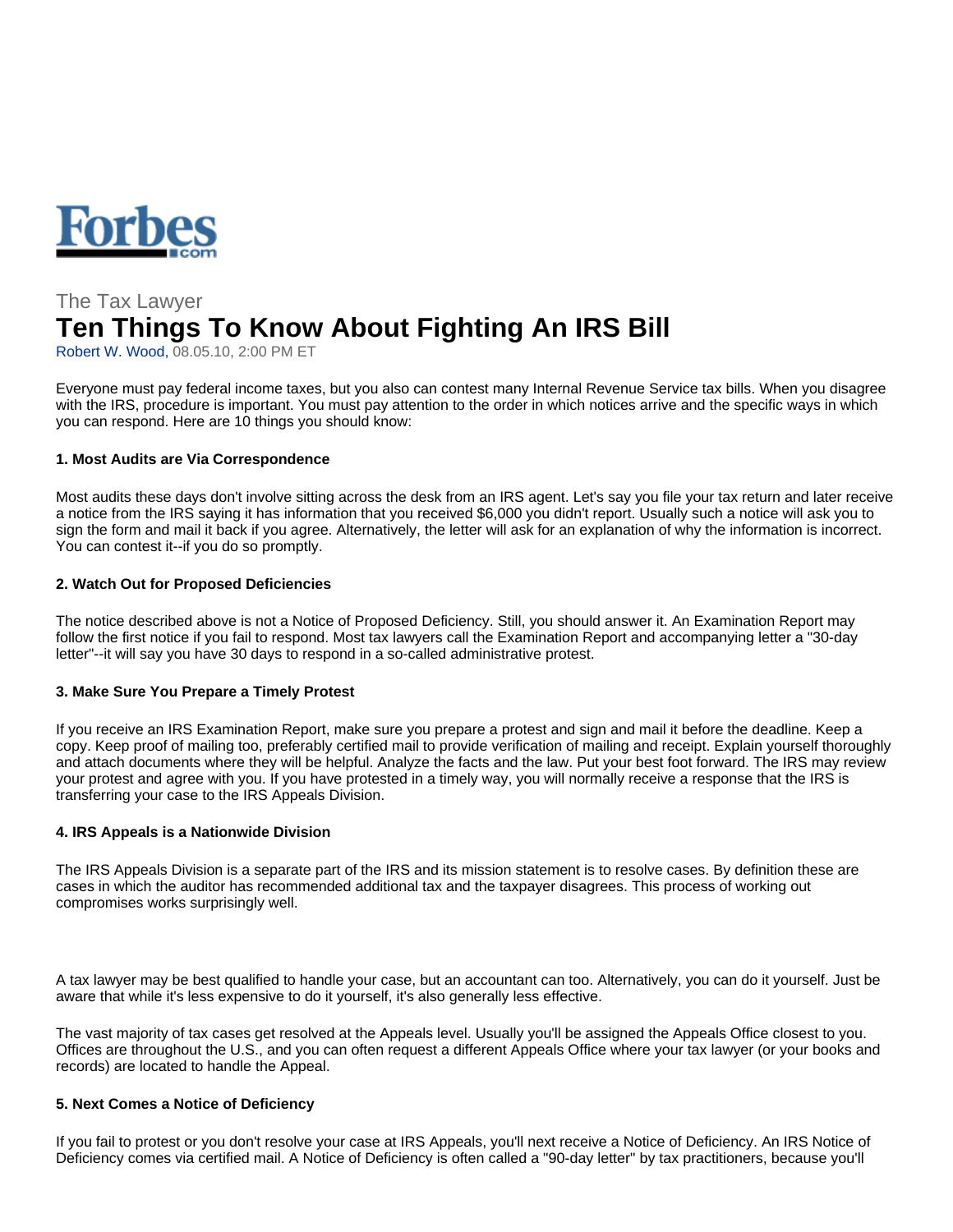

# The Tax Lawyer **Ten Things To Know About Fighting An IRS Bill**

Robert W. Wood, 08.05.10, 2:00 PM ET

Everyone must pay federal income taxes, but you also can contest many Internal Revenue Service tax bills. When you disagree with the IRS, procedure is important. You must pay attention to the order in which notices arrive and the specific ways in which you can respond. Here are 10 things you should know:

# **1. Most Audits are Via Correspondence**

Most audits these days don't involve sitting across the desk from an IRS agent. Let's say you file your tax return and later receive a notice from the IRS saying it has information that you received \$6,000 you didn't report. Usually such a notice will ask you to sign the form and mail it back if you agree. Alternatively, the letter will ask for an explanation of why the information is incorrect. You can contest it--if you do so promptly.

## **2. Watch Out for Proposed Deficiencies**

The notice described above is not a Notice of Proposed Deficiency. Still, you should answer it. An Examination Report may follow the first notice if you fail to respond. Most tax lawyers call the Examination Report and accompanying letter a "30-day letter"--it will say you have 30 days to respond in a so-called administrative protest.

# **3. Make Sure You Prepare a Timely Protest**

If you receive an IRS Examination Report, make sure you prepare a protest and sign and mail it before the deadline. Keep a copy. Keep proof of mailing too, preferably certified mail to provide verification of mailing and receipt. Explain yourself thoroughly and attach documents where they will be helpful. Analyze the facts and the law. Put your best foot forward. The IRS may review your protest and agree with you. If you have protested in a timely way, you will normally receive a response that the IRS is transferring your case to the IRS Appeals Division.

#### **4. IRS Appeals is a Nationwide Division**

The IRS Appeals Division is a separate part of the IRS and its mission statement is to resolve cases. By definition these are cases in which the auditor has recommended additional tax and the taxpayer disagrees. This process of working out compromises works surprisingly well.

A tax lawyer may be best qualified to handle your case, but an accountant can too. Alternatively, you can do it yourself. Just be aware that while it's less expensive to do it yourself, it's also generally less effective.

The vast majority of tax cases get resolved at the Appeals level. Usually you'll be assigned the Appeals Office closest to you. Offices are throughout the U.S., and you can often request a different Appeals Office where your tax lawyer (or your books and records) are located to handle the Appeal.

#### **5. Next Comes a Notice of Deficiency**

If you fail to protest or you don't resolve your case at IRS Appeals, you'll next receive a Notice of Deficiency. An IRS Notice of Deficiency comes via certified mail. A Notice of Deficiency is often called a "90-day letter" by tax practitioners, because you'll